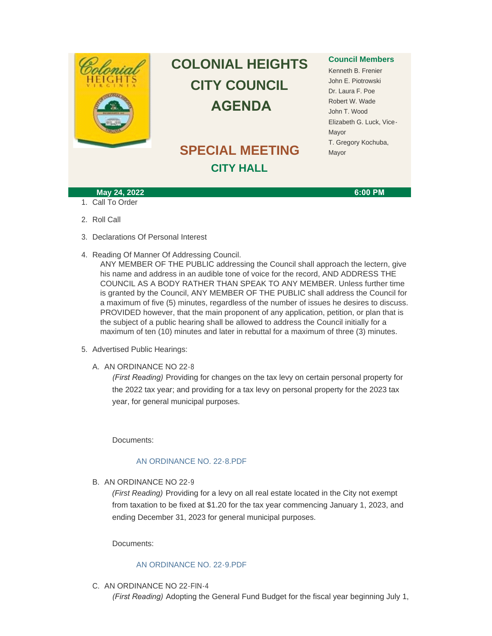

# **COLONIAL HEIGHTS CITY COUNCIL AGENDA**

# **SPECIAL MEETING CITY HALL**

### **Council Members**

Kenneth B. Frenier John E. Piotrowski Dr. Laura F. Poe Robert W. Wade John T. Wood Elizabeth G. Luck, Vice-Mayor T. Gregory Kochuba, Mayor

#### **May 24, 2022 6:00 PM**

- 1. Call To Order
- 2. Roll Call
- 3. Declarations Of Personal Interest
- 4. Reading Of Manner Of Addressing Council.

ANY MEMBER OF THE PUBLIC addressing the Council shall approach the lectern, give his name and address in an audible tone of voice for the record, AND ADDRESS THE COUNCIL AS A BODY RATHER THAN SPEAK TO ANY MEMBER. Unless further time is granted by the Council, ANY MEMBER OF THE PUBLIC shall address the Council for a maximum of five (5) minutes, regardless of the number of issues he desires to discuss. PROVIDED however, that the main proponent of any application, petition, or plan that is the subject of a public hearing shall be allowed to address the Council initially for a maximum of ten (10) minutes and later in rebuttal for a maximum of three (3) minutes.

- 5. Advertised Public Hearings:
	- A. AN ORDINANCE NO 22-8

*(First Reading)* Providing for changes on the tax levy on certain personal property for the 2022 tax year; and providing for a tax levy on personal property for the 2023 tax year, for general municipal purposes.

Documents:

## [AN ORDINANCE NO. 22-8.PDF](http://www.colonialheightsva.gov/AgendaCenter/ViewFile/Item/5692?fileID=8600)

B. AN ORDINANCE NO 22-9

*(First Reading)* Providing for a levy on all real estate located in the City not exempt from taxation to be fixed at \$1.20 for the tax year commencing January 1, 2023, and ending December 31, 2023 for general municipal purposes.

Documents:

#### [AN ORDINANCE NO. 22-9.PDF](http://www.colonialheightsva.gov/AgendaCenter/ViewFile/Item/5691?fileID=8585)

C. AN ORDINANCE NO 22-FIN-4

*(First Reading)* Adopting the General Fund Budget for the fiscal year beginning July 1,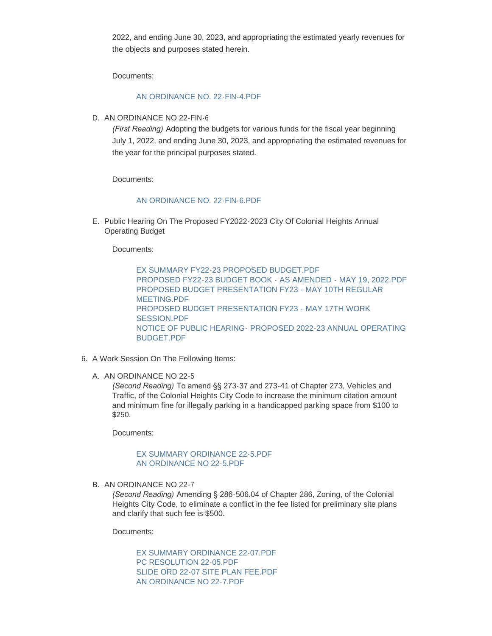2022, and ending June 30, 2023, and appropriating the estimated yearly revenues for the objects and purposes stated herein.

Documents:

#### [AN ORDINANCE NO. 22-FIN-4.PDF](http://www.colonialheightsva.gov/AgendaCenter/ViewFile/Item/5687?fileID=8599)

D. AN ORDINANCE NO 22-FIN-6

*(First Reading)* Adopting the budgets for various funds for the fiscal year beginning July 1, 2022, and ending June 30, 2023, and appropriating the estimated revenues for the year for the principal purposes stated.

Documents:

#### [AN ORDINANCE NO. 22-FIN-6.PDF](http://www.colonialheightsva.gov/AgendaCenter/ViewFile/Item/5690?fileID=8598)

E. Public Hearing On The Proposed FY2022-2023 City Of Colonial Heights Annual Operating Budget

Documents:

[EX SUMMARY FY22-23 PROPOSED BUDGET.PDF](http://www.colonialheightsva.gov/AgendaCenter/ViewFile/Item/5693?fileID=8601) [PROPOSED FY22-23 BUDGET BOOK - AS AMENDED - MAY 19, 2022.PDF](http://www.colonialheightsva.gov/AgendaCenter/ViewFile/Item/5693?fileID=8605) [PROPOSED BUDGET PRESENTATION FY23 - MAY 10TH REGULAR](http://www.colonialheightsva.gov/AgendaCenter/ViewFile/Item/5693?fileID=8603)  MEETING.PDF [PROPOSED BUDGET PRESENTATION FY23 -](http://www.colonialheightsva.gov/AgendaCenter/ViewFile/Item/5693?fileID=8604) MAY 17TH WORK SESSION.PDF NOTICE OF PUBLIC HEARING- [PROPOSED 2022-23 ANNUAL OPERATING](http://www.colonialheightsva.gov/AgendaCenter/ViewFile/Item/5693?fileID=8602)  **BUDGET PDF** 

- 6. A Work Session On The Following Items:
	- A. AN ORDINANCE NO 22-5

*(Second Reading)* To amend §§ 273-37 and 273-41 of Chapter 273, Vehicles and Traffic, of the Colonial Heights City Code to increase the minimum citation amount and minimum fine for illegally parking in a handicapped parking space from \$100 to \$250.

Documents:

[EX SUMMARY ORDINANCE 22-5.PDF](http://www.colonialheightsva.gov/AgendaCenter/ViewFile/Item/5695?fileID=8596) [AN ORDINANCE NO 22-5.PDF](http://www.colonialheightsva.gov/AgendaCenter/ViewFile/Item/5695?fileID=8593)

B. AN ORDINANCE NO 22-7

*(Second Reading)* Amending § 286-506.04 of Chapter 286, Zoning, of the Colonial Heights City Code, to eliminate a conflict in the fee listed for preliminary site plans and clarify that such fee is \$500.

Documents:

[EX SUMMARY ORDINANCE 22-07.PDF](http://www.colonialheightsva.gov/AgendaCenter/ViewFile/Item/5694?fileID=8597) [PC RESOLUTION 22-05.PDF](http://www.colonialheightsva.gov/AgendaCenter/ViewFile/Item/5694?fileID=8590) [SLIDE ORD 22-07 SITE PLAN FEE.PDF](http://www.colonialheightsva.gov/AgendaCenter/ViewFile/Item/5694?fileID=8591) [AN ORDINANCE NO 22-7.PDF](http://www.colonialheightsva.gov/AgendaCenter/ViewFile/Item/5694?fileID=8587)